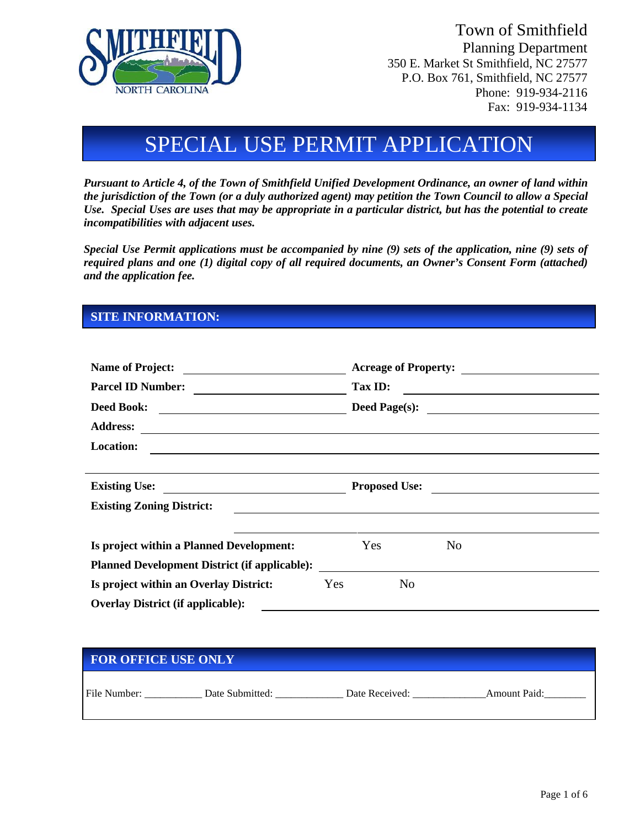

Town of Smithfield Planning Department 350 E. Market St Smithfield, NC 27577 P.O. Box 761, Smithfield, NC 27577 Phone: 919-934-2116 Fax: 919-934-1134

# SPECIAL USE PERMIT APPLICATION

*Pursuant to Article 4, of the Town of Smithfield Unified Development Ordinance, an owner of land within the jurisdiction of the Town (or a duly authorized agent) may petition the Town Council to allow a Special Use. Special Uses are uses that may be appropriate in a particular district, but has the potential to create incompatibilities with adjacent uses.*

*Special Use Permit applications must be accompanied by nine (9) sets of the application, nine (9) sets of required plans and one (1) digital copy of all required documents, an Owner's Consent Form (attached) and the application fee.* 

#### **SITE INFORMATION:**

| <b>Name of Project:</b><br><u> 1989 - Johann Barbara, martxa a shekara 1989 - An tsara 1989 - An tsara 1989 - An tsara 1989 - An tsara 198</u><br><b>Parcel ID Number:</b><br>Deed Book: |     |                                                              |                |                |  |  |
|------------------------------------------------------------------------------------------------------------------------------------------------------------------------------------------|-----|--------------------------------------------------------------|----------------|----------------|--|--|
|                                                                                                                                                                                          |     | Tax ID:<br><u> 1989 - Andrea State Barbara, amerikan per</u> |                |                |  |  |
|                                                                                                                                                                                          |     |                                                              |                |                |  |  |
| <b>Address:</b><br><u> 1989 - Johann Stein, marwolaethau a bhann an t-Amhain an t-Amhain an t-Amhain an t-Amhain an t-Amhain an t-A</u>                                                  |     |                                                              |                |                |  |  |
| <b>Location:</b><br><u> 1980 - Andrea Station Barbara, actor a component de la componenta</u>                                                                                            |     |                                                              |                |                |  |  |
|                                                                                                                                                                                          |     |                                                              |                |                |  |  |
| Existing Use:                                                                                                                                                                            |     |                                                              |                | Proposed Use:  |  |  |
| <b>Existing Zoning District:</b>                                                                                                                                                         |     |                                                              |                |                |  |  |
|                                                                                                                                                                                          |     |                                                              |                |                |  |  |
| Is project within a Planned Development:                                                                                                                                                 |     | Yes                                                          |                | N <sub>0</sub> |  |  |
| <b>Planned Development District (if applicable):</b>                                                                                                                                     |     |                                                              |                |                |  |  |
| Is project within an Overlay District:                                                                                                                                                   | Yes |                                                              | N <sub>0</sub> |                |  |  |
| <b>Overlay District (if applicable):</b>                                                                                                                                                 |     |                                                              |                |                |  |  |

#### **FOR OFFICE USE ONLY**

| File<br>$\cdots$<br>___ | ⊅ate<br>nm1tteg<br>AU. | )ate<br>_________________ | $m$ $\alpha$ $n$<br>Paid: |
|-------------------------|------------------------|---------------------------|---------------------------|
|                         |                        |                           |                           |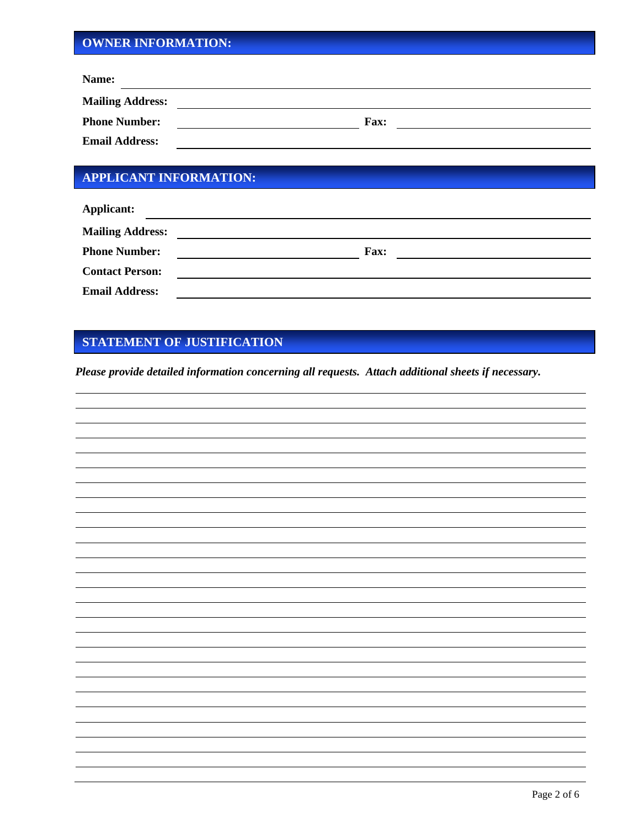## **OWNER INFORMATION:**

| Name:                   |             |
|-------------------------|-------------|
| <b>Mailing Address:</b> |             |
| <b>Phone Number:</b>    | <b>Fax:</b> |
| <b>Email Address:</b>   |             |

# **APPLICANT INFORMATION:**

| <b>Applicant:</b>       |             |
|-------------------------|-------------|
| <b>Mailing Address:</b> |             |
| <b>Phone Number:</b>    | <b>Fax:</b> |
| <b>Contact Person:</b>  |             |
| <b>Email Address:</b>   |             |

### **STATEMENT OF JUSTIFICATION**

*Please provide detailed information concerning all requests. Attach additional sheets if necessary.*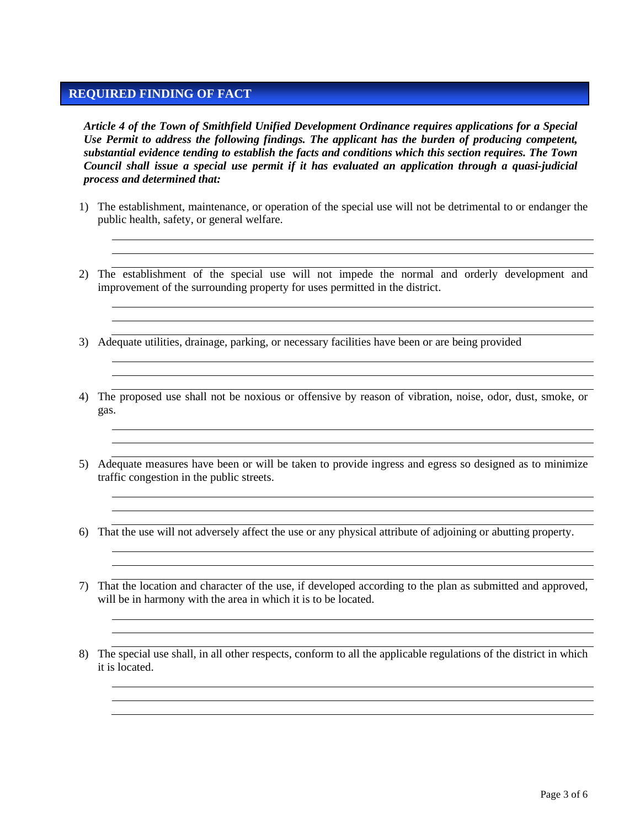### **REQUIRED FINDING OF FACT**

*Article 4 of the Town of Smithfield Unified Development Ordinance requires applications for a Special Use Permit to address the following findings. The applicant has the burden of producing competent, substantial evidence tending to establish the facts and conditions which this section requires. The Town Council shall issue a special use permit if it has evaluated an application through a quasi-judicial process and determined that:* 

- 1) The establishment, maintenance, or operation of the special use will not be detrimental to or endanger the public health, safety, or general welfare.
- 2) The establishment of the special use will not impede the normal and orderly development and improvement of the surrounding property for uses permitted in the district.
- 3) Adequate utilities, drainage, parking, or necessary facilities have been or are being provided
- 4) The proposed use shall not be noxious or offensive by reason of vibration, noise, odor, dust, smoke, or gas.
- 5) Adequate measures have been or will be taken to provide ingress and egress so designed as to minimize traffic congestion in the public streets.
- 6) That the use will not adversely affect the use or any physical attribute of adjoining or abutting property.
- 7) That the location and character of the use, if developed according to the plan as submitted and approved, will be in harmony with the area in which it is to be located.
- 8) The special use shall, in all other respects, conform to all the applicable regulations of the district in which it is located.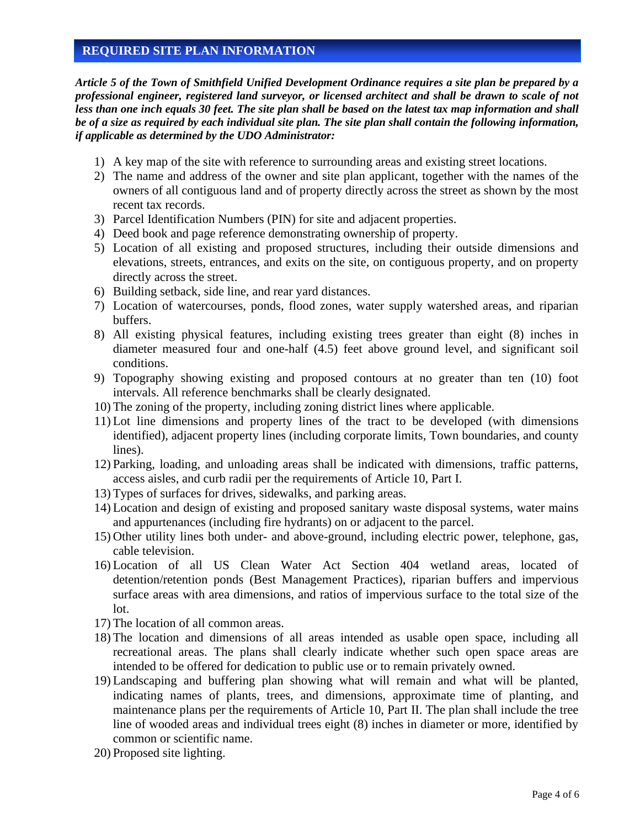#### **REQUIRED SITE PLAN INFORMATION**

*Article 5 of the Town of Smithfield Unified Development Ordinance requires a site plan be prepared by a professional engineer, registered land surveyor, or licensed architect and shall be drawn to scale of not less than one inch equals 30 feet. The site plan shall be based on the latest tax map information and shall be of a size as required by each individual site plan. The site plan shall contain the following information, if applicable as determined by the UDO Administrator:*

- 1) A key map of the site with reference to surrounding areas and existing street locations.
- 2) The name and address of the owner and site plan applicant, together with the names of the owners of all contiguous land and of property directly across the street as shown by the most recent tax records.
- 3) Parcel Identification Numbers (PIN) for site and adjacent properties.
- 4) Deed book and page reference demonstrating ownership of property.
- 5) Location of all existing and proposed structures, including their outside dimensions and elevations, streets, entrances, and exits on the site, on contiguous property, and on property directly across the street.
- 6) Building setback, side line, and rear yard distances.
- 7) Location of watercourses, ponds, flood zones, water supply watershed areas, and riparian buffers.
- 8) All existing physical features, including existing trees greater than eight (8) inches in diameter measured four and one-half (4.5) feet above ground level, and significant soil conditions.
- 9) Topography showing existing and proposed contours at no greater than ten (10) foot intervals. All reference benchmarks shall be clearly designated.
- 10) The zoning of the property, including zoning district lines where applicable.
- 11) Lot line dimensions and property lines of the tract to be developed (with dimensions identified), adjacent property lines (including corporate limits, Town boundaries, and county lines).
- 12) Parking, loading, and unloading areas shall be indicated with dimensions, traffic patterns, access aisles, and curb radii per the requirements of Article 10, Part I.
- 13) Types of surfaces for drives, sidewalks, and parking areas.
- 14) Location and design of existing and proposed sanitary waste disposal systems, water mains and appurtenances (including fire hydrants) on or adjacent to the parcel.
- 15) Other utility lines both under- and above-ground, including electric power, telephone, gas, cable television.
- 16) Location of all US Clean Water Act Section 404 wetland areas, located of detention/retention ponds (Best Management Practices), riparian buffers and impervious surface areas with area dimensions, and ratios of impervious surface to the total size of the lot.
- 17) The location of all common areas.
- 18) The location and dimensions of all areas intended as usable open space, including all recreational areas. The plans shall clearly indicate whether such open space areas are intended to be offered for dedication to public use or to remain privately owned.
- 19) Landscaping and buffering plan showing what will remain and what will be planted, indicating names of plants, trees, and dimensions, approximate time of planting, and maintenance plans per the requirements of Article 10, Part II. The plan shall include the tree line of wooded areas and individual trees eight (8) inches in diameter or more, identified by common or scientific name.
- 20) Proposed site lighting.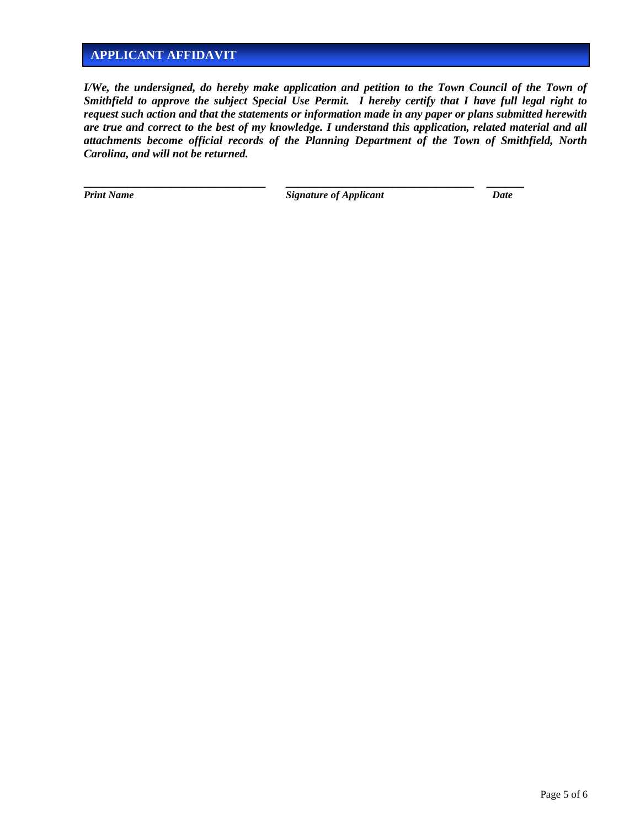## **APPLICANT AFFIDAVIT**

*I/We, the undersigned, do hereby make application and petition to the Town Council of the Town of Smithfield to approve the subject Special Use Permit. I hereby certify that I have full legal right to request such action and that the statements or information made in any paper or plans submitted herewith are true and correct to the best of my knowledge. I understand this application, related material and all attachments become official records of the Planning Department of the Town of Smithfield, North Carolina, and will not be returned.*

**Print Name Signature of Applicant Date** 

**\_\_\_\_\_\_\_\_\_\_\_\_\_\_\_\_\_\_\_\_\_\_\_\_\_\_\_\_\_ \_\_\_\_\_\_\_\_\_\_\_\_\_\_\_\_\_\_\_\_\_\_\_\_\_\_\_\_\_\_ \_\_\_\_\_\_**